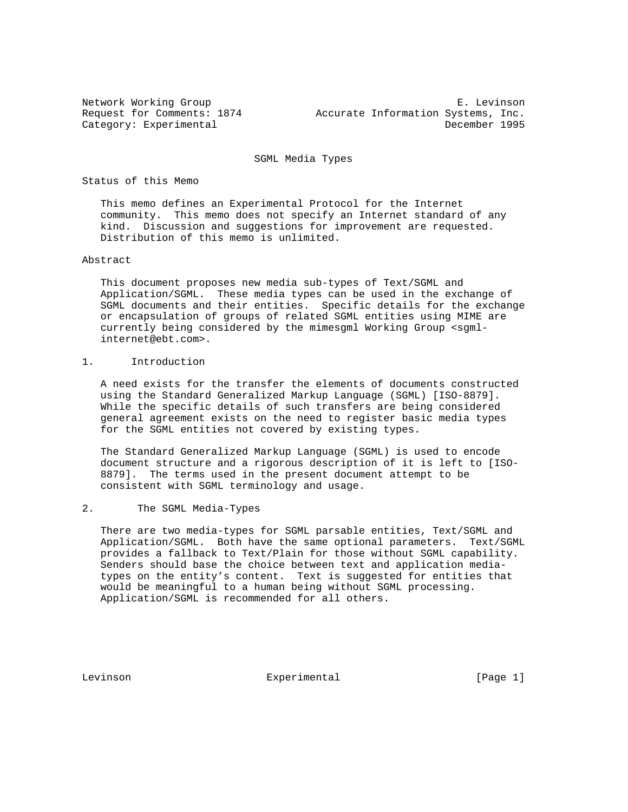Network Working Group **E. Levinson** Request for Comments: 1874 Accurate Information Systems, Inc. Category: Experimental December 1995

SGML Media Types

Status of this Memo

 This memo defines an Experimental Protocol for the Internet community. This memo does not specify an Internet standard of any kind. Discussion and suggestions for improvement are requested. Distribution of this memo is unlimited.

### Abstract

 This document proposes new media sub-types of Text/SGML and Application/SGML. These media types can be used in the exchange of SGML documents and their entities. Specific details for the exchange or encapsulation of groups of related SGML entities using MIME are currently being considered by the mimesgml Working Group <sgmlinternet@ebt.com>.

### 1. Introduction

 A need exists for the transfer the elements of documents constructed using the Standard Generalized Markup Language (SGML) [ISO-8879]. While the specific details of such transfers are being considered general agreement exists on the need to register basic media types for the SGML entities not covered by existing types.

 The Standard Generalized Markup Language (SGML) is used to encode document structure and a rigorous description of it is left to [ISO- 8879]. The terms used in the present document attempt to be consistent with SGML terminology and usage.

# 2. The SGML Media-Types

 There are two media-types for SGML parsable entities, Text/SGML and Application/SGML. Both have the same optional parameters. Text/SGML provides a fallback to Text/Plain for those without SGML capability. Senders should base the choice between text and application media types on the entity's content. Text is suggested for entities that would be meaningful to a human being without SGML processing. Application/SGML is recommended for all others.

Levinson **Experimental** [Page 1]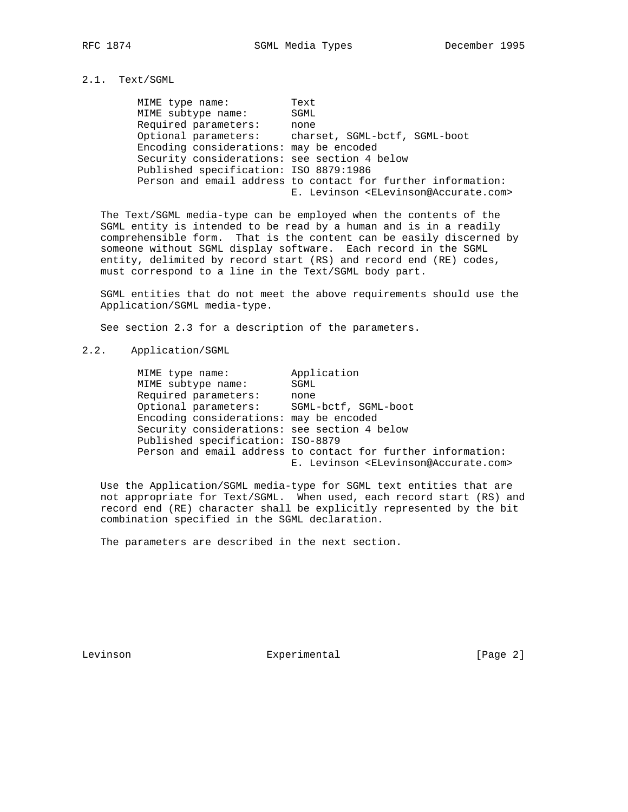# 2.1. Text/SGML

 MIME type name: Text MIME subtype name: SGML Required parameters: none Optional parameters: charset, SGML-bctf, SGML-boot Encoding considerations: may be encoded Security considerations: see section 4 below Published specification: ISO 8879:1986 Person and email address to contact for further information: E. Levinson <ELevinson@Accurate.com>

 The Text/SGML media-type can be employed when the contents of the SGML entity is intended to be read by a human and is in a readily comprehensible form. That is the content can be easily discerned by someone without SGML display software. Each record in the SGML entity, delimited by record start (RS) and record end (RE) codes, must correspond to a line in the Text/SGML body part.

 SGML entities that do not meet the above requirements should use the Application/SGML media-type.

See section 2.3 for a description of the parameters.

### 2.2. Application/SGML

| MIME type name:                              | Application                                                   |
|----------------------------------------------|---------------------------------------------------------------|
| MIME subtype name:                           | SGML                                                          |
| Required parameters:                         | none                                                          |
| Optional parameters: SGML-bctf, SGML-boot    |                                                               |
| Encoding considerations: may be encoded      |                                                               |
| Security considerations: see section 4 below |                                                               |
| Published specification: ISO-8879            |                                                               |
|                                              | Person and email address to contact for further information:  |
|                                              | E. Levinson <elevinson@accurate.com></elevinson@accurate.com> |

 Use the Application/SGML media-type for SGML text entities that are not appropriate for Text/SGML. When used, each record start (RS) and record end (RE) character shall be explicitly represented by the bit combination specified in the SGML declaration.

The parameters are described in the next section.

Levinson **Experimental** [Page 2]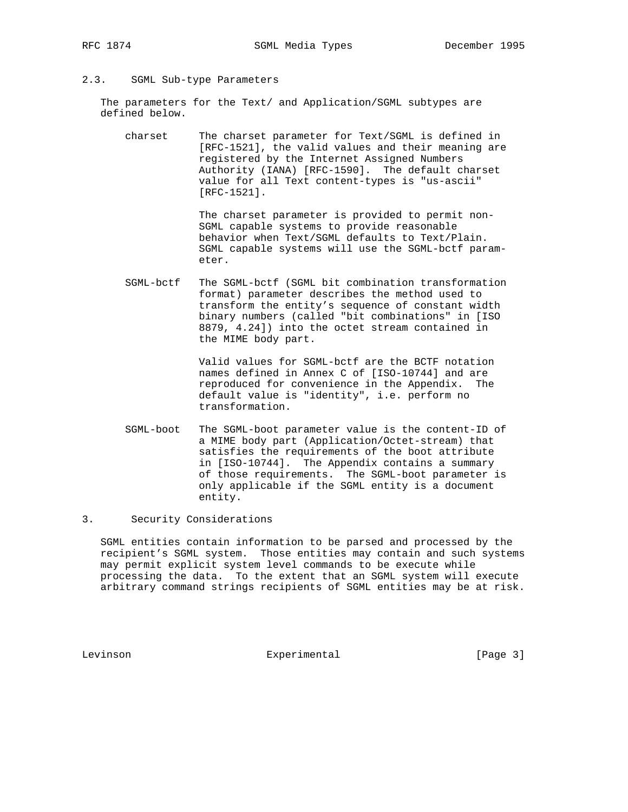## 2.3. SGML Sub-type Parameters

 The parameters for the Text/ and Application/SGML subtypes are defined below.

 charset The charset parameter for Text/SGML is defined in [RFC-1521], the valid values and their meaning are registered by the Internet Assigned Numbers Authority (IANA) [RFC-1590]. The default charset value for all Text content-types is "us-ascii" [RFC-1521].

> The charset parameter is provided to permit non- SGML capable systems to provide reasonable behavior when Text/SGML defaults to Text/Plain. SGML capable systems will use the SGML-bctf param eter.

 SGML-bctf The SGML-bctf (SGML bit combination transformation format) parameter describes the method used to transform the entity's sequence of constant width binary numbers (called "bit combinations" in [ISO 8879, 4.24]) into the octet stream contained in the MIME body part.

> Valid values for SGML-bctf are the BCTF notation names defined in Annex C of [ISO-10744] and are reproduced for convenience in the Appendix. The default value is "identity", i.e. perform no transformation.

 SGML-boot The SGML-boot parameter value is the content-ID of a MIME body part (Application/Octet-stream) that satisfies the requirements of the boot attribute in [ISO-10744]. The Appendix contains a summary of those requirements. The SGML-boot parameter is only applicable if the SGML entity is a document entity.

# 3. Security Considerations

 SGML entities contain information to be parsed and processed by the recipient's SGML system. Those entities may contain and such systems may permit explicit system level commands to be execute while processing the data. To the extent that an SGML system will execute arbitrary command strings recipients of SGML entities may be at risk.

Levinson **Experimental** [Page 3]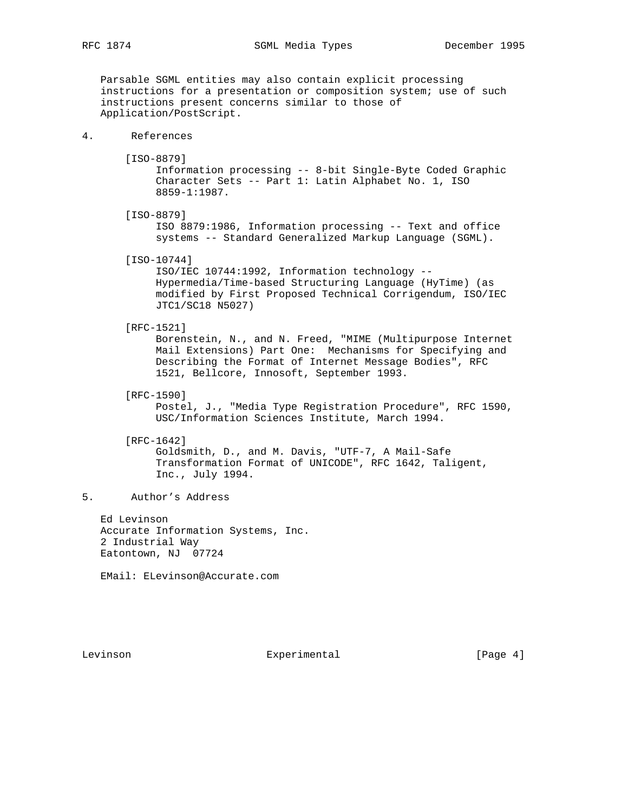Parsable SGML entities may also contain explicit processing instructions for a presentation or composition system; use of such instructions present concerns similar to those of Application/PostScript.

### 4. References

- [ISO-8879] Information processing -- 8-bit Single-Byte Coded Graphic Character Sets -- Part 1: Latin Alphabet No. 1, ISO 8859-1:1987.
- [ISO-8879]

 ISO 8879:1986, Information processing -- Text and office systems -- Standard Generalized Markup Language (SGML).

[ISO-10744]

 ISO/IEC 10744:1992, Information technology -- Hypermedia/Time-based Structuring Language (HyTime) (as modified by First Proposed Technical Corrigendum, ISO/IEC JTC1/SC18 N5027)

## [RFC-1521]

 Borenstein, N., and N. Freed, "MIME (Multipurpose Internet Mail Extensions) Part One: Mechanisms for Specifying and Describing the Format of Internet Message Bodies", RFC 1521, Bellcore, Innosoft, September 1993.

[RFC-1590]

 Postel, J., "Media Type Registration Procedure", RFC 1590, USC/Information Sciences Institute, March 1994.

 [RFC-1642] Goldsmith, D., and M. Davis, "UTF-7, A Mail-Safe

 Transformation Format of UNICODE", RFC 1642, Taligent, Inc., July 1994.

# 5. Author's Address

 Ed Levinson Accurate Information Systems, Inc. 2 Industrial Way Eatontown, NJ 07724

EMail: ELevinson@Accurate.com

Levinson **Experimental** Experimental [Page 4]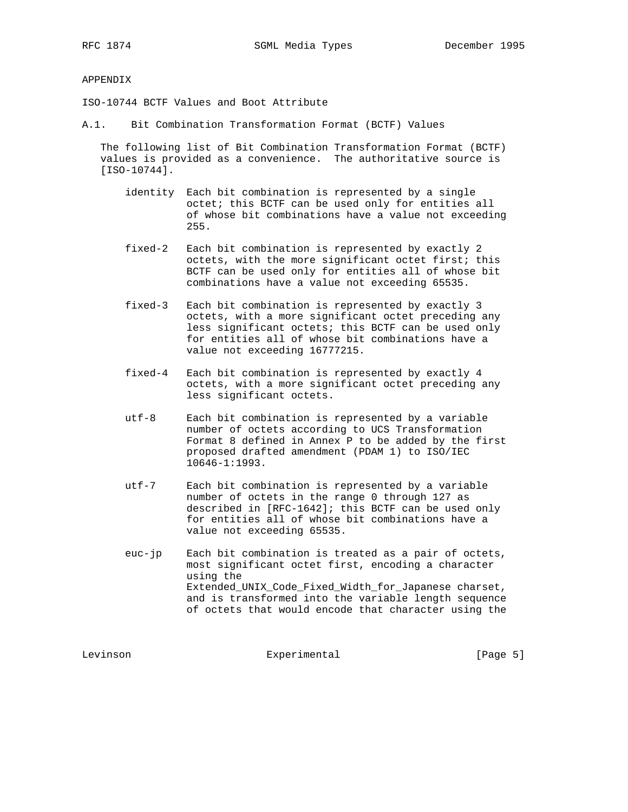APPENDIX

ISO-10744 BCTF Values and Boot Attribute

A.1. Bit Combination Transformation Format (BCTF) Values

 The following list of Bit Combination Transformation Format (BCTF) values is provided as a convenience. The authoritative source is [ISO-10744].

- identity Each bit combination is represented by a single octet; this BCTF can be used only for entities all of whose bit combinations have a value not exceeding 255.
- fixed-2 Each bit combination is represented by exactly 2 octets, with the more significant octet first; this BCTF can be used only for entities all of whose bit combinations have a value not exceeding 65535.
- fixed-3 Each bit combination is represented by exactly 3 octets, with a more significant octet preceding any less significant octets; this BCTF can be used only for entities all of whose bit combinations have a value not exceeding 16777215.
- fixed-4 Each bit combination is represented by exactly 4 octets, with a more significant octet preceding any less significant octets.
- utf-8 Each bit combination is represented by a variable number of octets according to UCS Transformation Format 8 defined in Annex P to be added by the first proposed drafted amendment (PDAM 1) to ISO/IEC 10646-1:1993.
- utf-7 Each bit combination is represented by a variable number of octets in the range 0 through 127 as described in [RFC-1642]; this BCTF can be used only for entities all of whose bit combinations have a value not exceeding 65535.

 euc-jp Each bit combination is treated as a pair of octets, most significant octet first, encoding a character using the Extended\_UNIX\_Code\_Fixed\_Width\_for\_Japanese charset, and is transformed into the variable length sequence of octets that would encode that character using the

Levinson Experimental Experimental [Page 5]